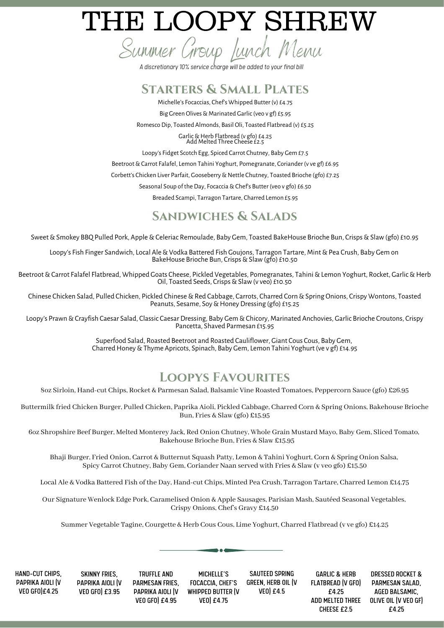# THE LOOPY SHREW

Summer Group Lunch Menu

*A discretionary10% service charge will be added to your final bill*

#### **Starters & Small Plates**

Michelle's Focaccias, Chef's Whipped Butter (v) £4.75 Big Green Olives & Marinated Garlic (veo v gf) £5.95 Romesco Dip, Toasted Almonds, Basil Oli, Toasted Flatbread (v) £5.25

> Garlic&Herb Flatbread (v gfo) £4.25 Add Melted Three Cheese £2.5

Loopy's Fidget Scotch Egg, Spiced Carrot Chutney, Baby Gem £7.5

Beetroot & Carrot Falafel, Lemon Tahini Yoghurt, Pomegranate, Coriander (v ve gf) £6.95

Corbett's Chicken Liver Parfait, Gooseberry & Nettle Chutney, Toasted Brioche (gfo) £7.25

Seasonal Soup of the Day, Focaccia & Chef's Butter (veo v gfo) £6.50

Breaded Scampi, Tarragon Tartare, Charred Lemon £5.95

#### **Sandwiches & Salads**

Sweet & Smokey BBQ Pulled Pork, Apple & Celeriac Remoulade, Baby Gem, Toasted BakeHouse Brioche Bun, Crisps & Slaw (gfo) £10.95

Loopy's Fish Finger Sandwich, Local Ale&Vodka Battered Fish Goujons, Tarragon Tartare, Mint&Pea Crush, Baby Gem on BakeHouse Brioche Bun, Crisps & Slaw (gfo) £10.50

Beetroot & Carrot Falafel Flatbread, Whipped Goats Cheese, Pickled Vegetables, Pomegranates, Tahini & Lemon Yoghurt, Rocket, Garlic & Herb Oil, Toasted Seeds, Crisps & Slaw (v veo) £10.50

Chinese Chicken Salad, Pulled Chicken, Pickled Chinese&Red Cabbage, Carrots, Charred Corn&Spring Onions, Crispy Wontons, Toasted Peanuts, Sesame, Soy&Honey Dressing (gfo) £15.25

Loopy's Prawn&Crayfish Caesar Salad, Classic Caesar Dressing, Baby Gem &Chicory, Marinated Anchovies, Garlic Brioche Croutons, Crispy Pancetta, Shaved Parmesan £15.95

> Superfood Salad, Roasted Beetroot and Roasted Cauliflower, Giant Cous Cous, Baby Gem, Charred Honey & Thyme Apricots, Spinach, Baby Gem, Lemon Tahini Yoghurt (ve v gf) £14.95

### **Loopys Favourites**

8oz Sirloin, Hand-cut Chips, Rocket & Parmesan Salad, Balsamic Vine Roasted Tomatoes, Peppercorn Sauce (gfo) £26.95

Buttermilk fried Chicken Burger, Pulled Chicken, Paprika Aioli, Pickled Cabbage, Charred Corn & Spring Onions, Bakehouse Brioche Bun, Fries & Slaw (gfo) £15.95

6oz Shropshire Beef Burger, Melted Monterey Jack, Red Onion Chutney, Whole Grain Mustard Mayo, Baby Gem, Sliced Tomato, Bakehouse Brioche Bun, Fries & Slaw £15.95

Bhaji Burger, Fried Onion, Carrot & Butternut Squash Patty, Lemon & Tahini Yoghurt, Corn & Spring Onion Salsa, Spicy Carrot Chutney, Baby Gem, Coriander Naan served with Fries & Slaw (v veo gfo) £15.50

Local Ale & Vodka Battered Fish of the Day, Hand-cut Chips, Minted Pea Crush, Tarragon Tartare, Charred Lemon £14.75

Our Signature Wenlock Edge Pork, Caramelised Onion & Apple Sausages, Parisian Mash, Sautéed Seasonal Vegetables, Crispy Onions, Chef's Gravy £14.50

Summer Vegetable Tagine, Courgette & Herb Cous Cous, Lime Yoghurt, Charred Flatbread (v ve gfo) £14.25

HAND-CUT CHIPS, PAPRIKA AIOLI (V VEO GFO)£4.25

SKINNY FRIES, PAPRIKA AIOLI (V VEO GFO) £3.95

TRUFFLE AND PARMESAN FRIES, PAPRIKA AIOLI (V VEO GFO) £4.95

MICHELLE'S FOCACCIA, CHEF'S WHIPPED BUTTER (V VEO) £4.75

SAUTEED SPRING GREEN, HERB OIL (V VEO) £4.5

GARLIC & HERB FLATBREAD (V GFO) £4.25 ADD MELTED THREE CHEESE £2.5

DRESSED ROCKET & PARMESAN SALAD, AGED BALSAMIC, OLIVE OIL (V VEO GF) £4.25